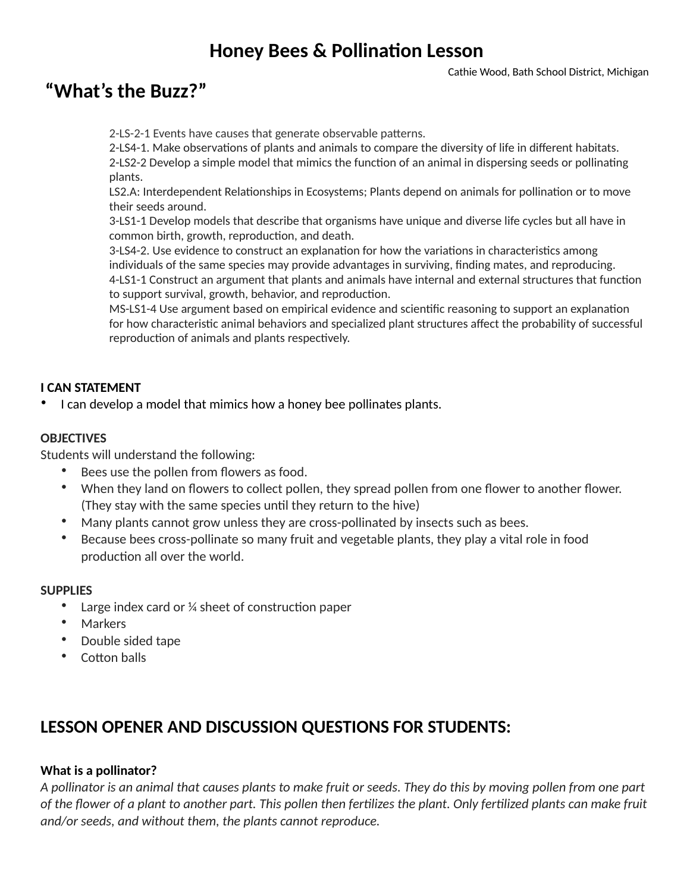## **Honey Bees & Pollination Lesson**

## **"What's the Buzz?"**

2-LS-2-1 Events have causes that generate observable patterns.

2-LS4-1. Make observations of plants and animals to compare the diversity of life in different habitats.

2-LS2-2 Develop a simple model that mimics the function of an animal in dispersing seeds or pollinating plants.

LS2.A: Interdependent Relationships in Ecosystems; Plants depend on animals for pollination or to move their seeds around.

3-LS1-1 Develop models that describe that organisms have unique and diverse life cycles but all have in common birth, growth, reproduction, and death.

3-LS4-2. Use evidence to construct an explanation for how the variations in characteristics among individuals of the same species may provide advantages in surviving, finding mates, and reproducing. 4-LS1-1 Construct an argument that plants and animals have internal and external structures that function to support survival, growth, behavior, and reproduction.

MS-LS1-4 Use argument based on empirical evidence and scientific reasoning to support an explanation for how characteristic animal behaviors and specialized plant structures affect the probability of successful reproduction of animals and plants respectively.

#### **I CAN STATEMENT**

• I can develop a model that mimics how a honey bee pollinates plants.

#### **OBJECTIVES**

Students will understand the following:

- Bees use the pollen from flowers as food.
- When they land on flowers to collect pollen, they spread pollen from one flower to another flower. (They stay with the same species until they return to the hive)
- Many plants cannot grow unless they are cross-pollinated by insects such as bees.
- Because bees cross-pollinate so many fruit and vegetable plants, they play a vital role in food production all over the world.

#### **SUPPLIES**

- Large index card or  $\frac{1}{4}$  sheet of construction paper
- **Markers**
- Double sided tape
- Cotton balls

## **LESSON OPENER AND DISCUSSION QUESTIONS FOR STUDENTS:**

#### **What is a pollinator?**

*A pollinator is an animal that causes plants to make fruit or seeds. They do this by moving pollen from one part*  of the flower of a plant to another part. This pollen then fertilizes the plant. Only fertilized plants can make fruit *and/or seeds, and without them, the plants cannot reproduce.*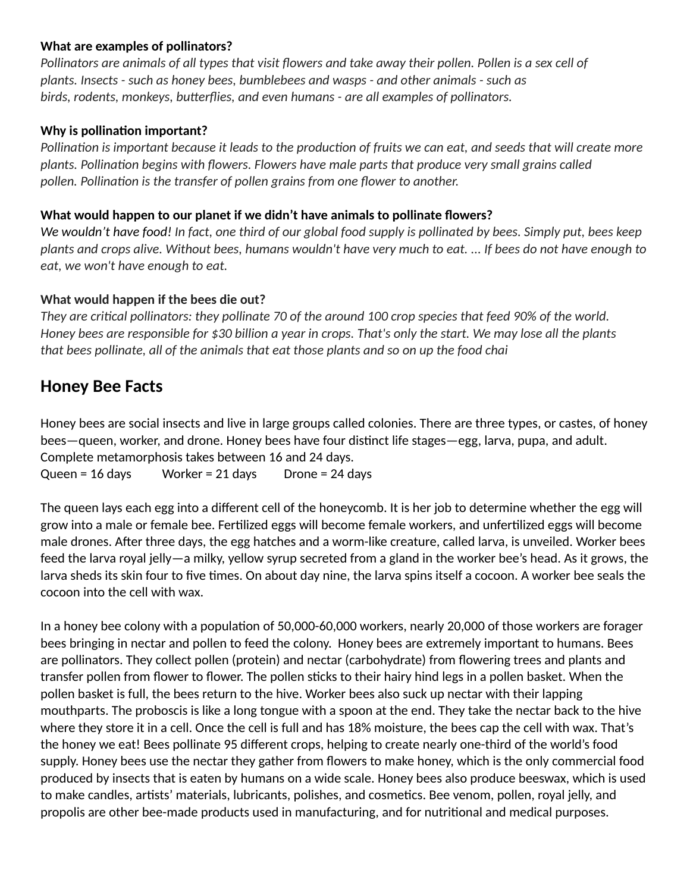#### **What are examples of pollinators?**

*Pollinators are animals of all types that visit flowers and take away their pollen. Pollen is a sex cell of plants. Insects - such as honey bees, bumblebees and wasps - and other animals - such as*  birds, rodents, monkeys, butterflies, and even humans - are all examples of pollinators.

### **Why is pollination important?**

*Pollination is important because it leads to the production of fruits we can eat, and seeds that will create more plants. Pollination begins with flowers. Flowers have male parts that produce very small grains called* pollen. Pollination is the transfer of pollen grains from one flower to another.

#### **What would happen to our planet if we didn't have animals to pollinate flowers?**

*We wouldn't have food! In fact, one third of our global food supply is pollinated by bees. Simply put, bees keep plants and crops alive. Without bees, humans wouldn't have very much to eat. ... If bees do not have enough to eat, we won't have enough to eat.* 

### **What would happen if the bees die out?**

*They are critical pollinators: they pollinate 70 of the around 100 crop species that feed 90% of the world. Honey bees are responsible for \$30 billion a year in crops. That's only the start. We may lose all the plants that bees pollinate, all of the animals that eat those plants and so on up the food chai*

### **Honey Bee Facts**

Honey bees are social insects and live in large groups called colonies. There are three types, or castes, of honey bees—queen, worker, and drone. Honey bees have four distinct life stages—egg, larva, pupa, and adult. Complete metamorphosis takes between 16 and 24 days.

Queen = 16 days Worker = 21 days Drone = 24 days

The queen lays each egg into a different cell of the honeycomb. It is her job to determine whether the egg will grow into a male or female bee. Fertilized eggs will become female workers, and unfertilized eggs will become male drones. After three days, the egg hatches and a worm-like creature, called larva, is unveiled. Worker bees feed the larva royal jelly—a milky, yellow syrup secreted from a gland in the worker bee's head. As it grows, the larva sheds its skin four to five times. On about day nine, the larva spins itself a cocoon. A worker bee seals the cocoon into the cell with wax.

In a honey bee colony with a population of 50,000-60,000 workers, nearly 20,000 of those workers are forager bees bringing in nectar and pollen to feed the colony. Honey bees are extremely important to humans. Bees are pollinators. They collect pollen (protein) and nectar (carbohydrate) from flowering trees and plants and transfer pollen from flower to flower. The pollen sticks to their hairy hind legs in a pollen basket. When the pollen basket is full, the bees return to the hive. Worker bees also suck up nectar with their lapping mouthparts. The proboscis is like a long tongue with a spoon at the end. They take the nectar back to the hive where they store it in a cell. Once the cell is full and has 18% moisture, the bees cap the cell with wax. That's the honey we eat! Bees pollinate 95 different crops, helping to create nearly one-third of the world's food supply. Honey bees use the nectar they gather from flowers to make honey, which is the only commercial food produced by insects that is eaten by humans on a wide scale. Honey bees also produce beeswax, which is used to make candles, artists' materials, lubricants, polishes, and cosmetics. Bee venom, pollen, royal jelly, and propolis are other bee-made products used in manufacturing, and for nutritional and medical purposes.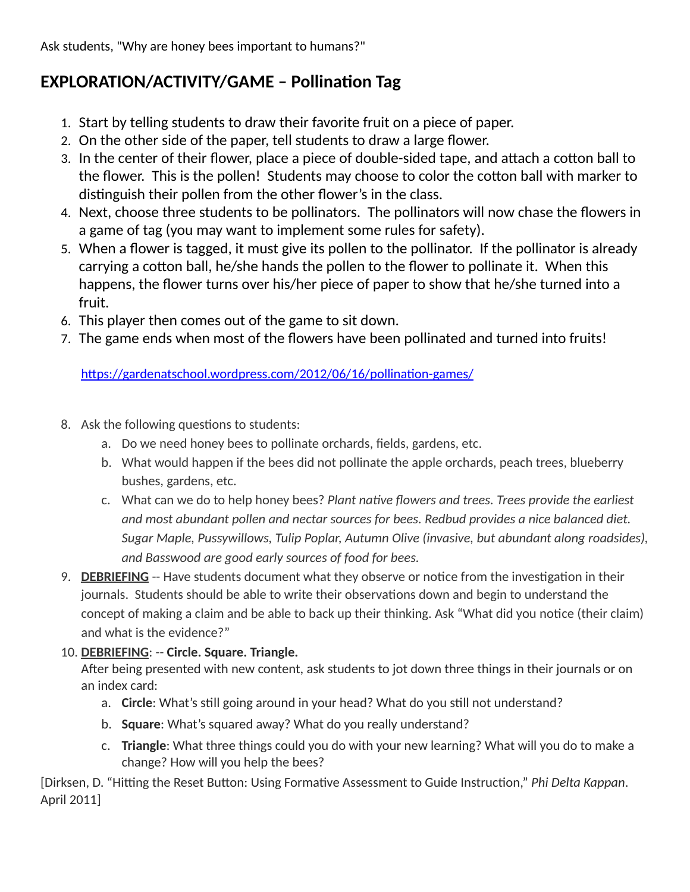Ask students, "Why are honey bees important to humans?"

## **EXPLORATION/ACTIVITY/GAME - Pollination Tag**

- 1. Start by telling students to draw their favorite fruit on a piece of paper.
- 2. On the other side of the paper, tell students to draw a large flower.
- 3. In the center of their flower, place a piece of double-sided tape, and attach a cotton ball to the flower. This is the pollen! Students may choose to color the cotton ball with marker to distinguish their pollen from the other flower's in the class.
- 4. Next, choose three students to be pollinators. The pollinators will now chase the flowers in a game of tag (you may want to implement some rules for safety).
- 5. When a flower is tagged, it must give its pollen to the pollinator. If the pollinator is already carrying a cotton ball, he/she hands the pollen to the flower to pollinate it. When this happens, the flower turns over his/her piece of paper to show that he/she turned into a fruit.
- 6. This player then comes out of the game to sit down.
- 7. The game ends when most of the flowers have been pollinated and turned into fruits!

https://gardenatschool.wordpress.com/2012/06/16/pollination-games/

- 8. Ask the following questions to students:
	- a. Do we need honey bees to pollinate orchards, fields, gardens, etc.
	- b. What would happen if the bees did not pollinate the apple orchards, peach trees, blueberry bushes, gardens, etc.
	- c. What can we do to help honey bees? *Plant native flowers and trees. Trees provide the earliest and most abundant pollen and nectar sources for bees. Redbud provides a nice balanced diet. Sugar Maple, Pussywillows, Tulip Poplar, Autumn Olive (invasive, but abundant along roadsides), and Basswood are good early sources of food for bees.*
- 9. **DEBRIEFING** -- Have students document what they observe or notice from the investigation in their journals. Students should be able to write their observations down and begin to understand the concept of making a claim and be able to back up their thinking. Ask "What did you notice (their claim) and what is the evidence?"
- 10. **DEBRIEFING**: -- **Circle. Square. Triangle.**

After being presented with new content, ask students to jot down three things in their journals or on an index card:

- a. **Circle**: What's still going around in your head? What do you still not understand?
- b. **Square**: What's squared away? What do you really understand?
- c. **Triangle**: What three things could you do with your new learning? What will you do to make a change? How will you help the bees?

[Dirksen, D. "Hitting the Reset Button: Using Formative Assessment to Guide Instruction," *Phi Delta Kappan*. April 2011]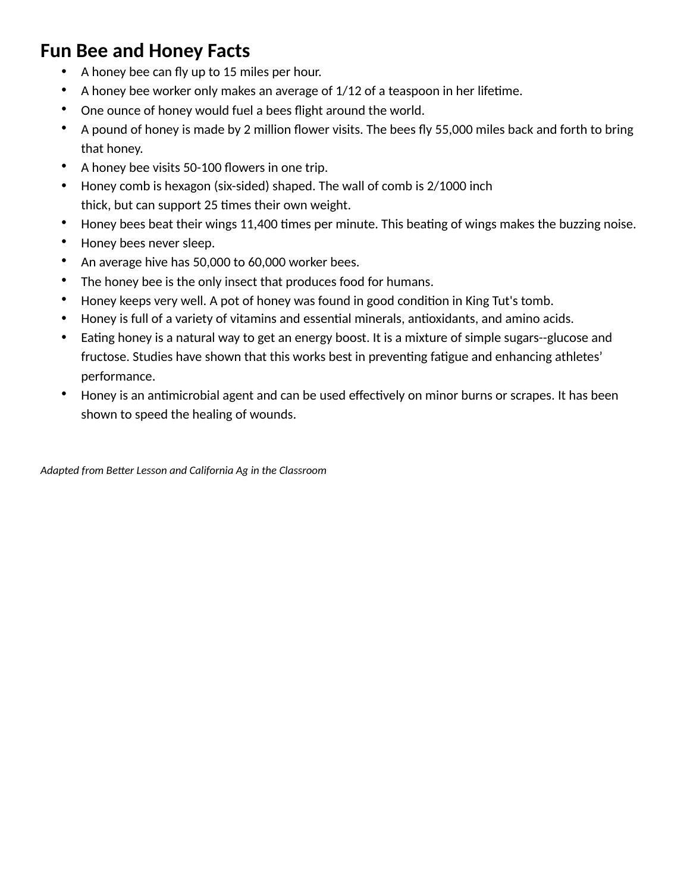## **Fun Bee and Honey Facts**

- A honey bee can fly up to 15 miles per hour.
- A honey bee worker only makes an average of  $1/12$  of a teaspoon in her lifetime.
- One ounce of honey would fuel a bees flight around the world.
- A pound of honey is made by 2 million flower visits. The bees fly 55,000 miles back and forth to bring that honey.
- A honey bee visits 50-100 flowers in one trip.
- Honey comb is hexagon (six-sided) shaped. The wall of comb is 2/1000 inch thick, but can support 25 times their own weight.
- Honey bees beat their wings 11,400 times per minute. This beating of wings makes the buzzing noise.
- Honey bees never sleep.
- An average hive has 50,000 to 60,000 worker bees.
- The honey bee is the only insect that produces food for humans.
- Honey keeps very well. A pot of honey was found in good condition in King Tut's tomb.
- Honey is full of a variety of vitamins and essential minerals, antioxidants, and amino acids.
- Eating honey is a natural way to get an energy boost. It is a mixture of simple sugars--glucose and fructose. Studies have shown that this works best in preventing fatigue and enhancing athletes' performance.
- Honey is an antimicrobial agent and can be used effectively on minor burns or scrapes. It has been shown to speed the healing of wounds.

Adapted from Better Lesson and California Ag in the Classroom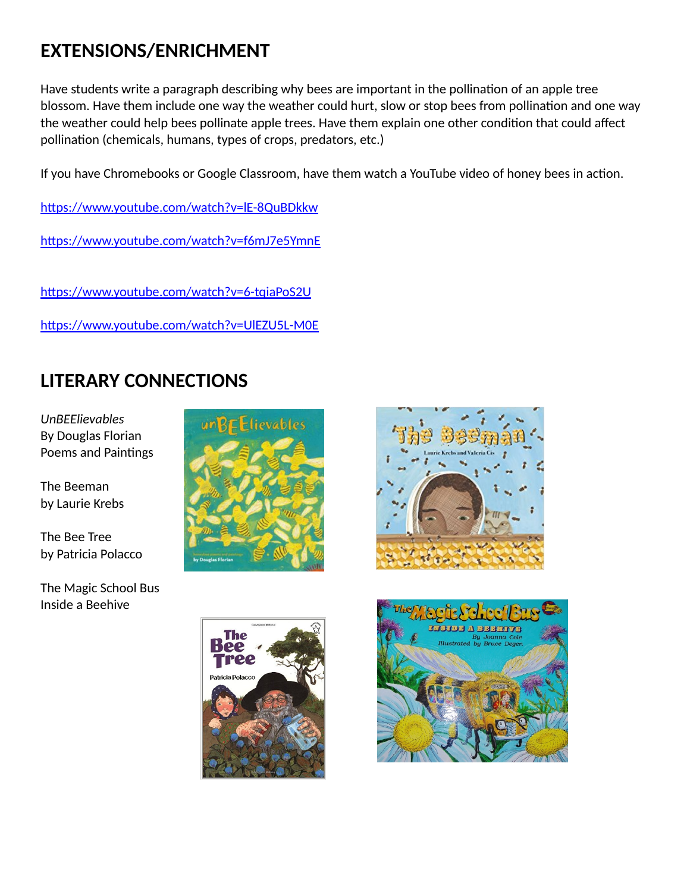# **EXTENSIONS/ENRICHMENT**

Have students write a paragraph describing why bees are important in the pollination of an apple tree blossom. Have them include one way the weather could hurt, slow or stop bees from pollination and one way the weather could help bees pollinate apple trees. Have them explain one other condition that could affect pollination (chemicals, humans, types of crops, predators, etc.)

If you have Chromebooks or Google Classroom, have them watch a YouTube video of honey bees in action.

https://www.youtube.com/watch?v=IE-8QuBDkkw

https://www.youtube.com/watch?v=f6mJ7e5YmnE

https://www.youtube.com/watch?v=6-tqiaPoS2U

https://www.youtube.com/watch?v=UlEZU5L-M0E

# **LITERARY CONNECTIONS**

*UnBEElievables*  By Douglas Florian Poems and Paintings

The Beeman by Laurie Krebs

The Bee Tree by Patricia Polacco

The Magic School Bus Inside a Beehive